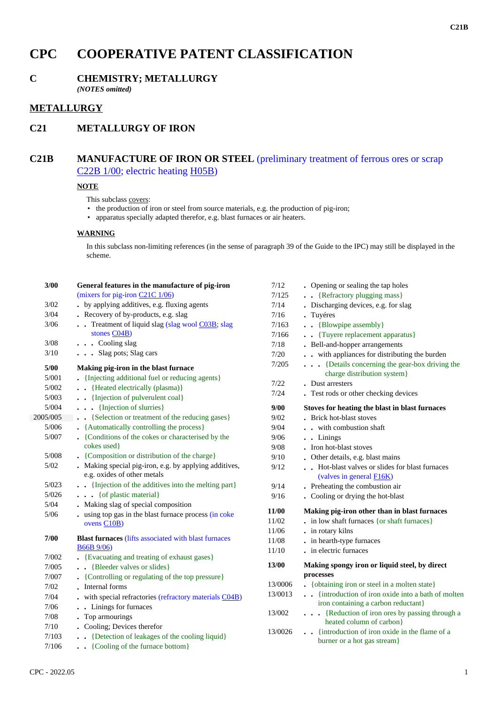# **CPC COOPERATIVE PATENT CLASSIFICATION**

# **C CHEMISTRY; METALLURGY**

*(NOTES omitted)*

## **METALLURGY**

# **C21 METALLURGY OF IRON**

## **C21B MANUFACTURE OF IRON OR STEEL** (preliminary treatment of ferrous ores or scrap C22B 1/00; electric heating H05B)

#### **NOTE**

This subclass covers:

- the production of iron or steel from source materials, e.g. the production of pig-iron;
- apparatus specially adapted therefor, e.g. blast furnaces or air heaters.

#### **WARNING**

In this subclass non-limiting references (in the sense of paragraph 39 of the Guide to the IPC) may still be displayed in the scheme.

| 3/00     | General features in the manufacture of pig-iron                                       | 7/12    | • Opening or sealing the tap holes                                             |
|----------|---------------------------------------------------------------------------------------|---------|--------------------------------------------------------------------------------|
|          | (mixers for pig-iron $C21C$ $1/06$ )                                                  | 7/125   | . {Refractory plugging mass}                                                   |
| 3/02     | . by applying additives, e.g. fluxing agents                                          | 7/14    | . Discharging devices, e.g. for slag                                           |
| $3/04$   | . Recovery of by-products, e.g. slag                                                  | 7/16    | . Tuyéres                                                                      |
| 3/06     | . Treatment of liquid slag (slag wool C03B; slag                                      | 7/163   | • • {Blowpipe assembly}                                                        |
|          | stones $CO4B$ )                                                                       | 7/166   | . Tuyere replacement apparatus}                                                |
| 3/08     | . Cooling slag                                                                        | 7/18    | • Bell-and-hopper arrangements                                                 |
| 3/10     | . Slag pots; Slag cars                                                                | 7/20    | . . with appliances for distributing the burden                                |
| 5/00     | Making pig-iron in the blast furnace                                                  | 7/205   | {Details concerning the gear-box driving the<br>charge distribution system}    |
| 5/001    | • {Injecting additional fuel or reducing agents}                                      | $7/22$  | . Dust arresters                                                               |
| 5/002    | . Heated electrically (plasma)}                                                       | 7/24    | . Test rods or other checking devices                                          |
| 5/003    | . . {Injection of pulverulent coal}                                                   |         |                                                                                |
| 5/004    | {Injection of slurries}                                                               | 9/00    | Stoves for heating the blast in blast furnaces                                 |
| 2005/005 | {Selection or treatment of the reducing gases}                                        | 9/02    | . Brick hot-blast stoves                                                       |
| 5/006    | • {Automatically controlling the process}                                             | 9/04    | . . with combustion shaft                                                      |
| 5/007    | • {Conditions of the cokes or characterised by the                                    | 9/06    | . . Linings                                                                    |
|          | cokes used}                                                                           | 9/08    | . Iron hot-blast stoves                                                        |
| 5/008    | • {Composition or distribution of the charge}                                         | 9/10    | • Other details, e.g. blast mains                                              |
| $5/02$   | . Making special pig-iron, e.g. by applying additives,<br>e.g. oxides of other metals | 9/12    | . Hot-blast valves or slides for blast furnaces<br>(valves in general $F16K$ ) |
| 5/023    | . . {Injection of the additives into the melting part}                                | 9/14    | . Preheating the combustion air                                                |
| 5/026    | $\cdots$ { of plastic material }                                                      | 9/16    | • Cooling or drying the hot-blast                                              |
| 5/04     | . Making slag of special composition                                                  |         |                                                                                |
| $5/06$   | . using top gas in the blast furnace process (in coke                                 | 11/00   | Making pig-iron other than in blast furnaces                                   |
|          | ovens C10B)                                                                           | 11/02   | . in low shaft furnaces {or shaft furnaces}                                    |
| 7/00     | <b>Blast furnaces</b> (lifts associated with blast furnaces                           | 11/06   | . in rotary kilns                                                              |
|          | <b>B66B</b> 9/06)                                                                     | 11/08   | . in hearth-type furnaces                                                      |
| 7/002    | • {Evacuating and treating of exhaust gases}                                          | 11/10   | . in electric furnaces                                                         |
| 7/005    | . . {Bleeder valves or slides}                                                        | 13/00   | Making spongy iron or liquid steel, by direct                                  |
| 7/007    | • {Controlling or regulating of the top pressure}                                     |         | processes                                                                      |
| 7/02     | • Internal forms                                                                      | 13/0006 | • { obtaining iron or steel in a molten state}                                 |
| $7/04$   | . with special refractories (refractory materials C04B)                               | 13/0013 | . {introduction of iron oxide into a bath of molten                            |
| 7/06     | . . Linings for furnaces                                                              |         | iron containing a carbon reductant}                                            |
| $7/08$   | . Top armourings                                                                      | 13/002  | . {Reduction of iron ores by passing through a                                 |
| $7/10$   | . Cooling; Devices therefor                                                           |         | heated column of carbon}                                                       |
| 7/103    | . . {Detection of leakages of the cooling liquid}                                     | 13/0026 | . {introduction of iron oxide in the flame of a                                |
|          |                                                                                       |         | burner or a hot gas stream}                                                    |
| 7/106    | . {Cooling of the furnace bottom}                                                     |         |                                                                                |